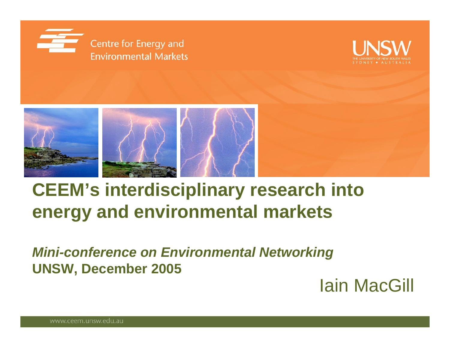<span id="page-0-0"></span>





# **CEEM's interdisciplinary research into energy and environmental markets**

*Mini-conference on Environmental Networking* **UNSW, December 2005**

Iain MacGill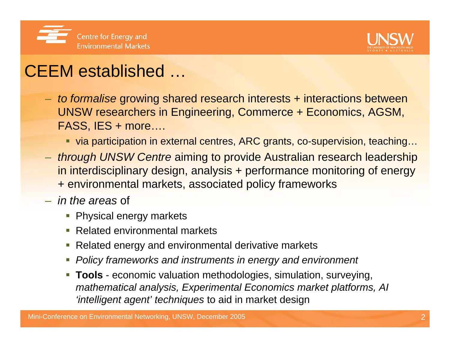



### CEEM established …

- *to formalise* growing shared research interests + interactions between UNSW researchers in Engineering, Commerce + Economics, AGSM, FASS, IES + more….
	- via participation in external centres, ARC grants, co-supervision, teaching…
- *through UNSW Centre* aiming to provide Australian research leadership in interdisciplinary design, analysis + performance monitoring of energy + environmental markets, associated policy frameworks
- *in the areas* of
	- **Physical energy markets**
	- $\mathcal{L}_{\mathcal{A}}$ Related environmental markets
	- г Related energy and environmental derivative markets
	- г *Policy frameworks and instruments in energy and environment*
	- **Tools** economic valuation methodologies, simulation, surveying, *mathematical analysis, Experimental Economics market platforms, AI 'intelligent agent' techniques* to aid in market design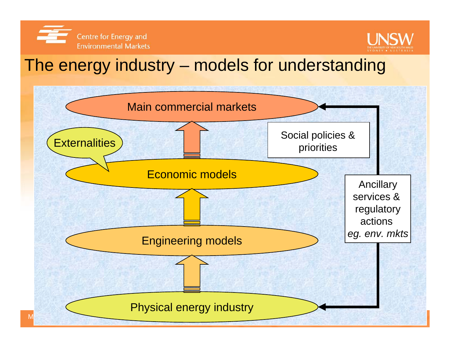



### The energy industry – models for understanding

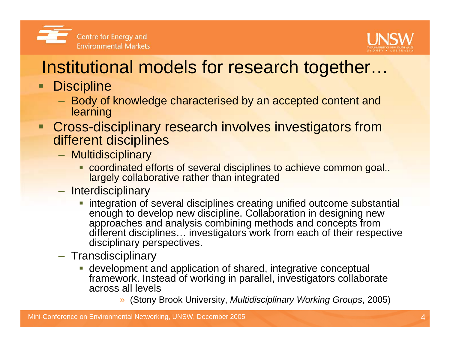



# Institutional models for research together…

- $\blacksquare$ **Discipline** 
	- $-$  Body of knowledge characterised by an accepted content and learning
- **Cross-disciplinary research involves investigators from** different disciplines
	- Multidisciplinary
		- **Coordinated efforts of several disciplines to achieve common goal..** largely collaborative rather than integrated
	- Interdisciplinary
		- **integration of several disciplines creating unified outcome substantial** enough to develop new discipline. Collaboration in designing new approaches and analysis combining methods and concepts from different disciplines… investigators work from each of their respective disciplinary perspectives.
	- Transdisciplinary
		- development and application of shared, integrative conceptual framework. Instead of working in parallel, investigators collaborate across all levels
			- » (Stony Brook University, *Multidisciplinary Working Groups*, 2005)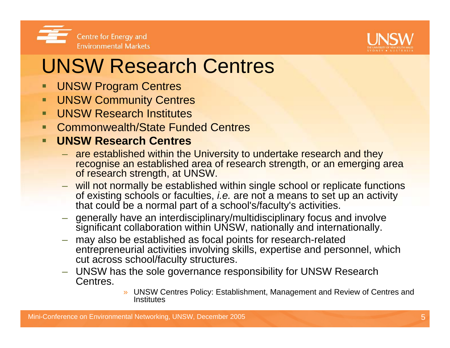



# UNSW Research Centres

- UNSW Program Centres
- П UNSW Community Centres
- п UNSW Research Institutes
- П Commonwealth/State Funded Centres

### п **UNSW Research Centres**

- are established within the University to undertake research and they recognise an established area of research strength, or an emerging area of research strength, at UNSW.
- will not normally be established within single school or replicate functions of existing schools or faculties, *i.e.* are not a means to set up an activity that could be a normal part of a school's/faculty's activities.
- generally have an interdisciplinary/multidisciplinary focus and involve significant collaboration within UNSW, nationally and internationally.
- – may also be established as focal points for research-related entrepreneurial activities involving skills, expertise and personnel, which cut across school/faculty structures.
- UNSW has the sole governance responsibility for UNSW Research Centres.
	- » UNSW Centres Policy: Establishment, Management and Review of Centres and **Institutes**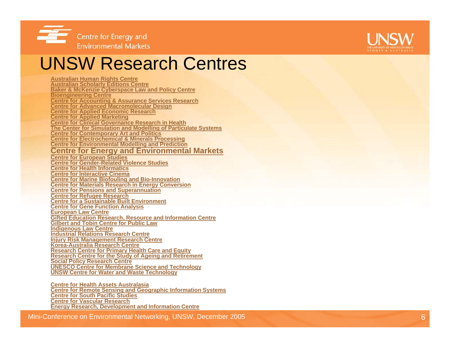



### UNSW Research Centres

**[Australian Human Rights Centre](http://www.ahrcentre.org/) [Australian Scholarly Editions Centre](http://idun.itsc.adfa.edu.au/ASEC/) [Baker & McKenzie Cyberspace Law and Policy Centre](http://www.bakercyberlawcentre.org/) [Bioengineering Centre](http://www.babs.unsw.edu.au/about/centres/bioeng.html) Centre [for Accounting & Assurance Services Research](http://www2.fce.unsw.edu.au/nps/servlet/portalservice?GI_ID=System.LoggedOutInheritableArea&maxWnd=_Research_Centres_CAAR) [Centre for Advanced Macromolecular Design](http://www.camd.unsw.edu.au/logo.html) [Centre for Applied Economic Research](http://www.caer.unsw.edu.au/) [Centre for Applied Marketing](http://www2.marketing.unsw.edu.au/nps/servlet/portalservice?GI_ID=System.LoggedOutInheritableArea&maxWnd=_ResearchCentres_CentreforAppliedMarketing) [Centre for Clinical Governance Research in Health](http://www.med.unsw.edu.au/clingov/) [The Center for Simulation and Modelling](http://www.simpas.unsw.edu.au/simpas/main.php) of Particulate Systems [Centre for Contemporary Art and Politics](http://www.cofa.unsw.edu.au/research/ccap/CCAP.html) [Centre for Electrochemical & Minerals Processing](http://www.ceic.unsw.edu.au/centers/cemp/indexcert.htm) [Centre for Environmental Modelling](http://www.cemap.maths.unsw.edu.au/) and Prediction [Centre for Energy and Environmental Markets](http://www.ceem.unsw.edu.au/) [Centre for European Studies](http://www.arts.unsw.edu.au/ces/) [Centre for Gender-Related Violence Studies](http://socialwork.arts.unsw.edu.au/Research/Research/Gender/gendercentre.htm)[Centre for Health Informatics](http://www.chi.unsw.edu.au/) [Centre for Interactive Cinema](http://www.icinema.unsw.edu.au/) [Centre for Marine Biofouling](http://www.babs.unsw.edu.au/about/centres/cmbb.html) and Bio-Innovation [Centre for Materials Research in Energy Conversion](http://www.materials.unsw.edu.au/research/cmrec.html) [Centre for Pensions and Superannuation](http://www2.fce.unsw.edu.au/nps/servlet/portalservice?GI_ID=System.LoggedOutInheritableArea&maxWnd=T_ResearchCentre_CPS) [Centre for Refugee Research](http://www.crr.unsw.edu.au/) [Centre for a Sustainable Built Environment](http://www.fbe.unsw.edu.au/staff/directory/units.asp?unit=CSBE) [Centre for Gene Function Analysis](http://www.ramaciotti.unsw.edu.au/) [European Law Centre](http://www.law.unsw.edu.au/centres/elc/index.asp) [Gifted Education Research, Resource and Information Centre](http://www.arts.unsw.edu.au/gerric/) [Gilbert and Tobin Centre for Public Law](http://www.gtcentre.unsw.edu.au/)[Indigenous Law Centre](http://www.law.unsw.edu.au/centres/ilc/) [Industrial Relations Research Centre](http://www2.orgmanagement.unsw.edu.au/nps/servlet/portalservice?GI_ID=System.LoggedOutInheritableArea&maxWnd=S_IRRC) [Injury Risk Management Research Centre](http://www.irmrc.unsw.edu.au/) [Korea-Australia Research Centre](http://www.karec.unsw.edu.au/) [Research Centre for Primary Health Care and Equity](http://www.cphce.unsw.edu.au/) [Research Centre for the Study of Ageing and Retirement](http://www.arts.unsw.edu.au/ageing/) [Social Policy Research Centre](http://www.sprc.unsw.edu.au/) [UNESCO Centre for Membrane Science and Technology](http://www.membrane.unsw.edu.au/) [UNSW Centre for Water and Waste Technology](http://www.cwwt.unsw.edu.au/)**

**[Centre for Health Assets Australasia](#page-0-0)  [Centre for Remote Sensing and Geographic Information Systems](http://www.bees.unsw.edu.au/crsgis/crsgis.html) [Centre for South Pacific Studies](http://www.arts.unsw.edu.au/southpacific/homepage.html)[Centre for Vascular Research](http://www.cvr.net.au/)[Energy Research, Development and Information Centre](http://www.erdic.unsw.edu.au/)**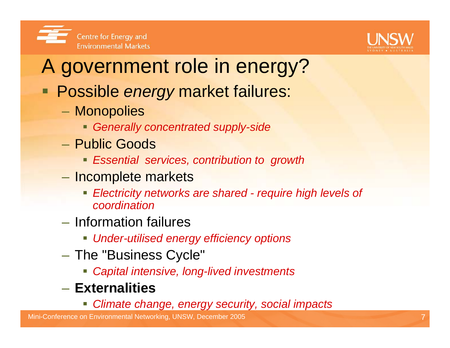



# A government role in energy?

- Possible *energy* market failures:
	- Monopolies
		- *Generally concentrated supply-side*
	- Public Goods
		- *Essential services, contribution to growth*
	- Incomplete markets
		- *Electricity networks are shared - require high levels of coordination*
	- Information failures
		- *Under-utilised energy efficiency options*
	- $-$  The "Business Cycle"  $\,$ 
		- *Capital intensive, long-lived investments*
	- **Externalities**
		- *Climate change, energy security, social impacts*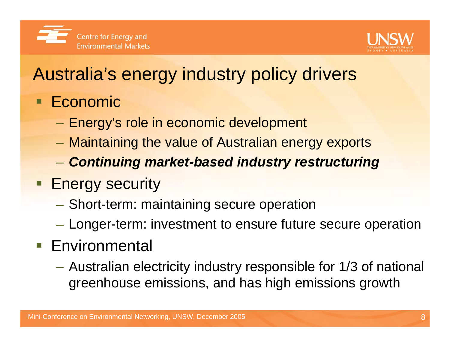



# Australia's energy industry policy drivers

- Economic
	- $-$  Energy's role in economic development
	- Maintaining the value of Australian energy exports
	- *Continuing market-based industry restructuring*
- **Energy security** 
	- Short-term: maintaining secure operation
	- Longer-term: investment to ensure future secure operation
- **Environmental** 
	- Australian electricity industry responsible for 1/3 of national greenhouse emissions, and has high emissions growth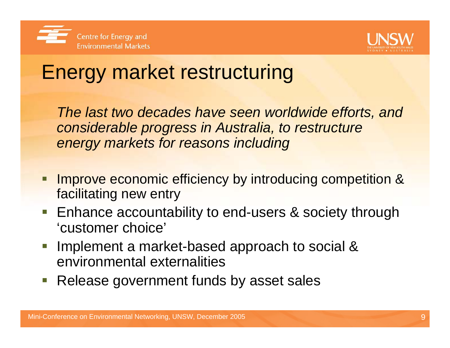



# Energy market restructuring

*The last two decades have seen worldwide efforts, and considerable progress in Australia, to restructure energy markets for reasons including*

- Improve economic efficiency by introducing competition & facilitating new entry
- Enhance accountability to end-users & society through 'customer choice'
- Implement a market-based approach to social & environmental externalities
- Release government funds by asset sales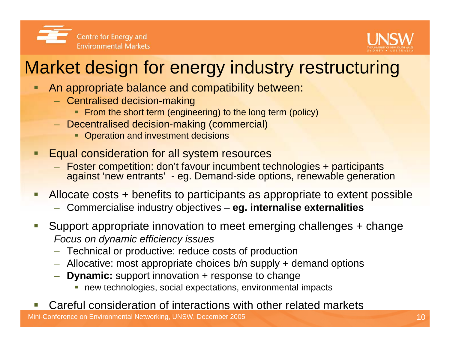



# Market design for energy industry restructuring

- An appropriate balance and compatibility between:
	- Centralised decision-making
		- **From the short term (engineering) to the long term (policy)**
	- Decentralised decision-making (commercial)
		- **Operation and investment decisions**
- Equal consideration for all system resources
	- Foster competition: don't favour incumbent technologies + participants against 'new entrants' - eg. Demand-side options, renewable generation
- Allocate costs + benefits to participants as appropriate to extent possible
	- Commercialise industry objectives **eg. internalise externalities**
- Support appropriate innovation to meet emerging challenges + change *Focus on dynamic efficiency issues*
	- Technical or productive: reduce costs of production
	- Allocative: most appropriate choices b/n supply + demand options
	- **Dynamic:** support innovation + response to change
		- new technologies, social expectations, environmental impacts

### Careful consideration of interactions with other related markets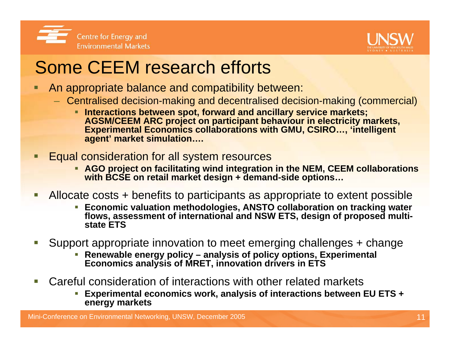



## Some CEEM research efforts

- An appropriate balance and compatibility between:
	- Centralised decision-making and decentralised decision-making (commercial)
		- **Interactions between spot, forward and ancillary service markets; AGSM/CEEM ARC project on participant behaviour in electricity markets, Experimental Economics collaborations with GMU, CSIRO…, 'intelligent agent' market simulation….**
- Equal consideration for all system resources
	- **AGO project on facilitating wind integration in the NEM, CEEM collaborations with BCSE on retail market design + demand-side options…**
- $\mathcal{L}$  Allocate costs + benefits to participants as appropriate to extent possible
	- **Economic valuation methodologies, ANSTO collaboration on tracking water flows, assessment of international and NSW ETS, design of proposed multistate ETS**
- Support appropriate innovation to meet emerging challenges + change
	- **Renewable energy policy – analysis of policy options, Experimental Economics analysis of MRET, innovation drivers in ETS**
- Careful consideration of interactions with other related markets
	- **Experimental economics work, analysis of interactions between EU ETS + energy markets**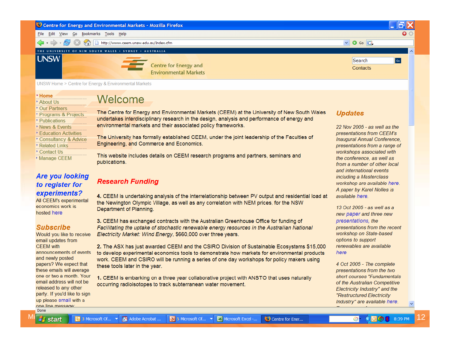Centre for Energy and Environmental Markets - Mozilla Firefox

File Fdit View Go Bookmarks Tools Help

http://www.ceem.unsw.edu.au/Index.cfm

THE UNIVERSITY OF NEW SOUTH WALES . SYDNEY . AUSTRALIA



Centre for Energy and **Environmental Markets** 

UNSW Home > Centre for Energy & Environmental Markets

#### - Home

- About Us
- Our Partners
- Programs & Projects
- Publications
- News & Events
- **Education Activities**
- Consultancy & Advice
- ▸ Related Links
- Contact Us
- 
- Manage CEEM

### **Are vou looking** to register for experiments?

All CEEM's experimental economics work is hosted here

### **Subscribe**

Would you like to receive email updates from **CFFM** with announcements of events and newly posted papers? We expect that these emails will average one or two a month. Your email address will not be released to any other party. If you'd like to sign up please email with a one line message Done

### Welcome

The Centre for Energy and Environmental Markets (CEEM) at the University of New South Wales undertakes interdisciplinary research in the design, analysis and performance of energy and environmental markets and their associated policy frameworks.

The University has formally established CEEM, under the joint leadership of the Faculties of Engineering, and Commerce and Economics.

This website includes details on CEEM research programs and partners, seminars and publications.

### **Research Funding**

4. CEEM is undertaking analysis of the interrelationship between PV output and residential load at the Newington Olympic Village, as well as any correlation with NEM prices, for the NSW Department of Planning.

3. CEEM has exchanged contracts with the Australian Greenhouse Office for funding of Facilitating the uptake of stochastic renewable energy resources in the Australian National Electricity Market: Wind Energy, \$660,000 over three years.

2. The ASX has just awarded CEEM and the CSIRO Division of Sustainable Ecosystems \$15,000 to develop experimental economics tools to demonstrate how markets for environmental products work. CEEM and CSIRO will be running a series of one day workshops for policy makers using these tools later in the year.

1. CEEM is embarking on a three year collaborative project with ANSTO that uses naturally occurring radioisotopes to track subterranean water movement.

### **Updates**

 $\boxed{\vee}$   $\boxed{\circ}$  Go  $\boxed{\text{GL}}$ 

Search

Contacts

22 Nov 2005 - as well as the presentations from CEEM's Inaugural Annual Conference, presentations from a range of workshops associated with the conference, as well as from a number of other local and international events including a Masterclass workshop are available here. A paper by Karel Nolles is available here.

n

 $\overline{\phantom{a}}$ 

13 Oct 2005 - as well as a new paper and three new presentations, the presentations from the recent workshop on State-based options to support renewables are available here

4 Oct 2005 - The complete presentations from the two short courses "Fundamentals of the Australian Competitive Electricity Industry" and the "Restructured Electricity Industry" are available here.

 $\textsf{Mil}$  at art  $\blacksquare$  3 Microsoft of  $\ldots$   $\blacksquare$  Adobe Acrobat  $\ldots$   $\blacksquare$  5 Microsoft of  $\ldots$   $\blacksquare$  Microsoft Excel  $\ldots$   $\blacksquare$  Centre for Ener  $\ldots$   $\blacksquare$   $\blacksquare$   $\blacksquare$   $\blacksquare$  8:39 PM  $\blacksquare$  12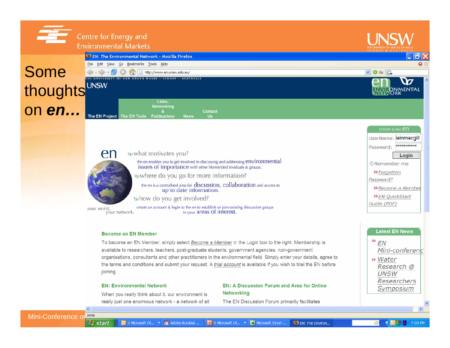|               | <b>Centre for Energy and</b><br><b>Environmental Markets</b>                                                          | THE UNIVERSITY OF NEW SOUTH WALES<br>SYDNEY . AUSTRALIA |
|---------------|-----------------------------------------------------------------------------------------------------------------------|---------------------------------------------------------|
| Some          | EN: The Environmental Network - Mozilla Firefox<br>File Edit View Go Bookmarks Tools Help                             | $\bullet$<br>$\vee$ $\circ$ Go $\circ$                  |
| thoughts UNSW | UNIVERSITY OF NEW SOUTH WALES . SYDNEY . AUSTRALIA                                                                    | ^<br>ENVIRONMENTAL                                      |
| on <b>en</b>  | Links.<br><b>Networking</b><br><b>Contact</b><br>The EN Project The EN Tools Publications<br><b>News</b><br><b>Us</b> |                                                         |
|               |                                                                                                                       |                                                         |



### what motivates you?

the en enables you to get involved in discussing and addressing environmental issues of importance with other likeminded inviduals & groups.

where do you go for more information?

the en is a centralised area for discussion, collaboration and access to up to date information.

whow do you get involved?

vour world. vour network.

create an account & login to the en to establish or join existing discussion groups in your areas of interest.

#### **Become an EN Member**

To become an EN Member, simply select Become a Member in the Login box to the right. Membership is available to researchers, teachers, post-graduate students, government agencies, non-government organisations, consultants and other practitioners in the environmental field. Simply enter your details, agree to the terms and conditions and submit your request. A trial account is available if you wish to trial the EN before joining.

#### **EN: Environmental Network**

When you really think about it, our environment is really just one enormous network - a network of all

### **EN: A Discussion Forum and Area for Online Networking**

The EN Discussion Forum primarily facilitates

LOGIN to the **CN** UserName: lainmacqill \*\*\*\*\*\*\*\*\*\*\* Password: Login ORemember me >>Forgotten Password? >> Become a Member >> EN QuickStart Guide (PDF)

**Latest EN News** »  $FN$ Mini-conferenc » Water Research @ **UNSW Researchers** Symposium

 $\rightarrow$